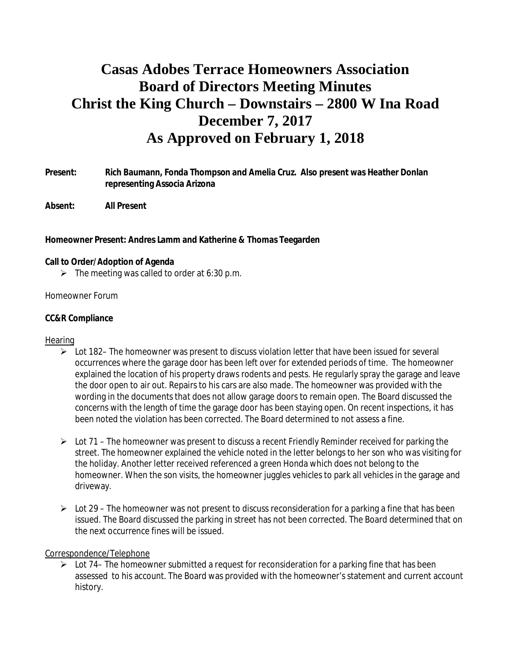# **Casas Adobes Terrace Homeowners Association Board of Directors Meeting Minutes Christ the King Church – Downstairs – 2800 W Ina Road December 7, 2017 As Approved on February 1, 2018**

- **Present: Rich Baumann, Fonda Thompson and Amelia Cruz. Also present was Heather Donlan representing Associa Arizona**
- **Absent: All Present**

**Homeowner Present: Andres Lamm and Katherine & Thomas Teegarden**

- **Call to Order/Adoption of Agenda**
	- $\triangleright$  The meeting was called to order at 6:30 p.m.

#### Homeowner Forum

#### **CC&R Compliance**

#### **Hearing**

- $\triangleright$  Lot 182– The homeowner was present to discuss violation letter that have been issued for several occurrences where the garage door has been left over for extended periods of time. The homeowner explained the location of his property draws rodents and pests. He regularly spray the garage and leave the door open to air out. Repairs to his cars are also made. The homeowner was provided with the wording in the documents that does not allow garage doors to remain open. The Board discussed the concerns with the length of time the garage door has been staying open. On recent inspections, it has been noted the violation has been corrected. The Board determined to not assess a fine.
- $\geq$  Lot 71 The homeowner was present to discuss a recent Friendly Reminder received for parking the street. The homeowner explained the vehicle noted in the letter belongs to her son who was visiting for the holiday. Another letter received referenced a green Honda which does not belong to the homeowner. When the son visits, the homeowner juggles vehicles to park all vehicles in the garage and driveway.
- $\triangleright$  Lot 29 The homeowner was not present to discuss reconsideration for a parking a fine that has been issued. The Board discussed the parking in street has not been corrected. The Board determined that on the next occurrence fines will be issued.

#### Correspondence/Telephone

 $\triangleright$  Lot 74– The homeowner submitted a request for reconsideration for a parking fine that has been assessed to his account. The Board was provided with the homeowner's statement and current account history.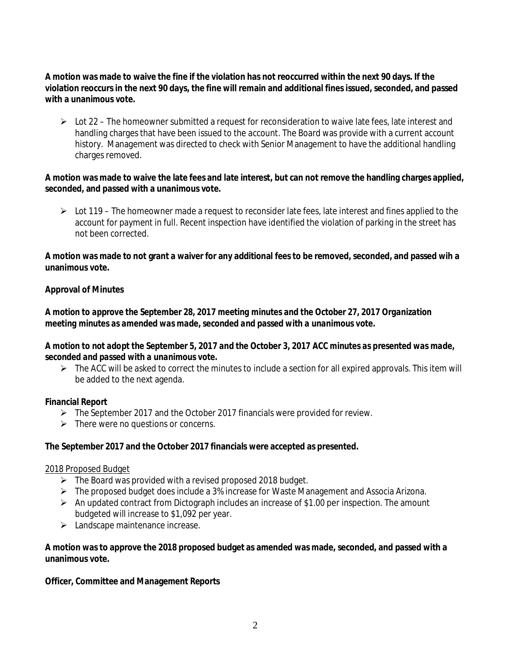**A motion was made to waive the fine if the violation has not reoccurred within the next 90 days. If the violation reoccurs in the next 90 days, the fine will remain and additional fines issued, seconded, and passed with a unanimous vote.**

 $\triangleright$  Lot 22 – The homeowner submitted a request for reconsideration to waive late fees, late interest and handling charges that have been issued to the account. The Board was provide with a current account history. Management was directed to check with Senior Management to have the additional handling charges removed.

**A motion was made to waive the late fees and late interest, but can not remove the handling charges applied, seconded, and passed with a unanimous vote.**

 $\triangleright$  Lot 119 – The homeowner made a request to reconsider late fees, late interest and fines applied to the account for payment in full. Recent inspection have identified the violation of parking in the street has not been corrected.

**A motion was made to not grant a waiver for any additional fees to be removed, seconded, and passed wih a unanimous vote.**

#### **Approval of Minutes**

*A motion to approve the September 28, 2017 meeting minutes and the October 27, 2017 Organization meeting minutes as amended was made, seconded and passed with a unanimous vote.*

*A motion to not adopt the September 5, 2017 and the October 3, 2017 ACC minutes as presented was made, seconded and passed with a unanimous vote.*

 $\triangleright$  The ACC will be asked to correct the minutes to include a section for all expired approvals. This item will be added to the next agenda.

#### **Financial Report**

- $\triangleright$  The September 2017 and the October 2017 financials were provided for review.
- $\triangleright$  There were no questions or concerns.

**The September 2017 and the October 2017 financials were accepted as presented.**

#### 2018 Proposed Budget

- $\triangleright$  The Board was provided with a revised proposed 2018 budget.
- Ø The proposed budget does include a 3% increase for Waste Management and Associa Arizona.
- $\triangleright$  An updated contract from Dictograph includes an increase of \$1.00 per inspection. The amount budgeted will increase to \$1,092 per year.
- $\blacktriangleright$  Landscape maintenance increase.

**A motion was to approve the 2018 proposed budget as amended was made, seconded, and passed with a unanimous vote.**

**Officer, Committee and Management Reports**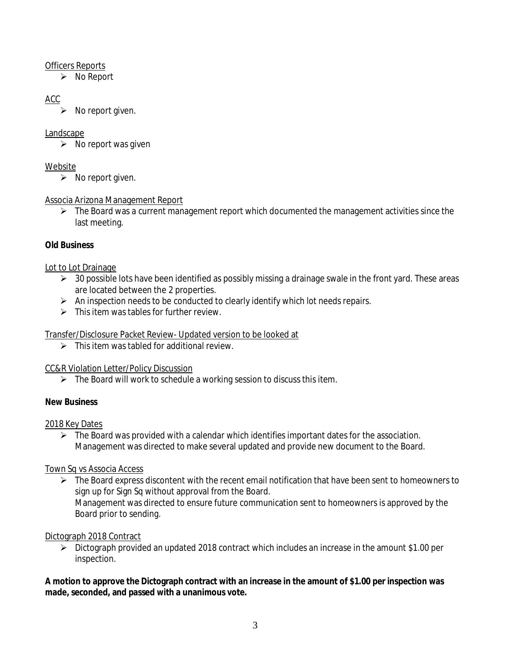#### Officers Reports

 $\triangleright$  No Report

# ACC

 $\triangleright$  No report given.

#### Landscape

 $\triangleright$  No report was given

## Website

 $\triangleright$  No report given.

# Associa Arizona Management Report

 $\triangleright$  The Board was a current management report which documented the management activities since the last meeting.

# **Old Business**

# Lot to Lot Drainage

- $\triangleright$  30 possible lots have been identified as possibly missing a drainage swale in the front yard. These areas are located between the 2 properties.
- $\triangleright$  An inspection needs to be conducted to clearly identify which lot needs repairs.
- $\triangleright$  This item was tables for further review.

# Transfer/Disclosure Packet Review- Updated version to be looked at

 $\triangleright$  This item was tabled for additional review.

# CC&R Violation Letter/Policy Discussion

 $\triangleright$  The Board will work to schedule a working session to discuss this item.

# **New Business**

# 2018 Key Dates

 $\triangleright$  The Board was provided with a calendar which identifies important dates for the association. Management was directed to make several updated and provide new document to the Board.

# Town Sq vs Associa Access

 $\triangleright$  The Board express discontent with the recent email notification that have been sent to homeowners to sign up for Sign Sq without approval from the Board. Management was directed to ensure future communication sent to homeowners is approved by the Board prior to sending.

# Dictograph 2018 Contract

 $\triangleright$  Dictograph provided an updated 2018 contract which includes an increase in the amount \$1.00 per inspection.

**A motion to approve the Dictograph contract with an increase in the amount of \$1.00 per inspection was made, seconded, and passed with a unanimous vote.**